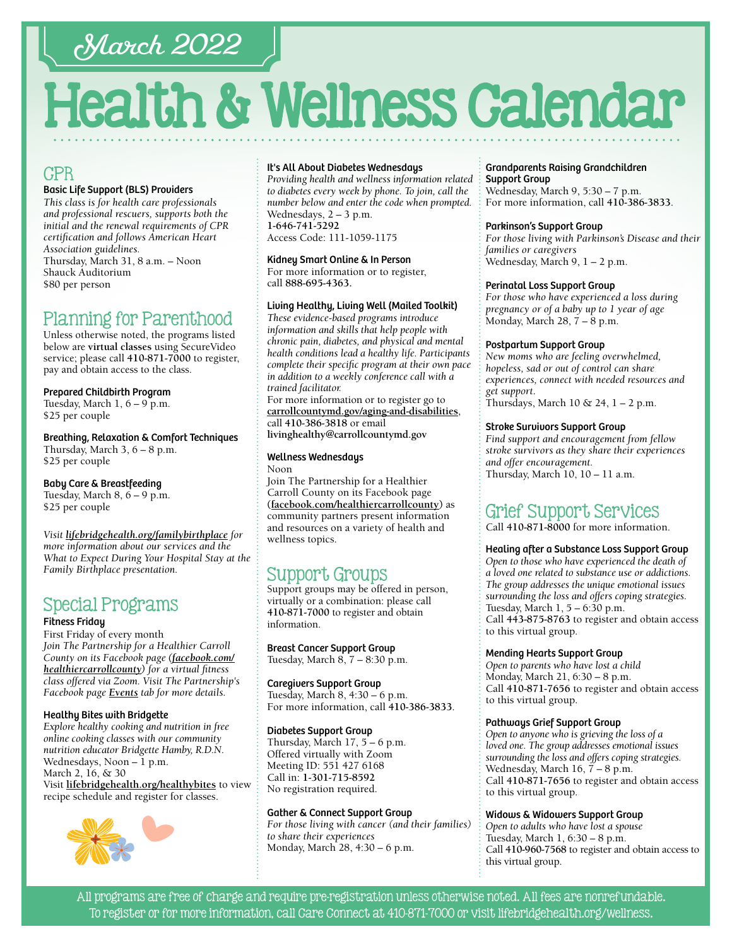# March 2022

# Health & Wellness Calendar

# CPR

#### Basic Life Support (BLS) Providers

*This class is for health care professionals and professional rescuers, supports both the initial and the renewal requirements of CPR certification and follows American Heart Association guidelines.*  Thursday, March 31, 8 a.m. – Noon Shauck Auditorium \$80 per person

# Planning for Parenthood

Unless otherwise noted, the programs listed below are **virtual classes** using SecureVideo service; please call **[410-871-7000](tel:4108717000)** to register, pay and obtain access to the class.

Prepared Childbirth Program

Tuesday, March 1, 6 – 9 p.m. \$25 per couple

Breathing, Relaxation & Comfort Techniques Thursday, March 3, 6 – 8 p.m. \$25 per couple

Baby Care & Breastfeeding Tuesday, March 8, 6 – 9 p.m. \$25 per couple

*Visit [lifebridgehealth.org/familybirthplace](http://www.lifebridgehealth.org/familybirthplace) for more information about our services and the What to Expect During Your Hospital Stay at the Family Birthplace presentation.*

# Special Programs

#### Fitness Friday

First Friday of every month *Join The Partnership for a Healthier Carroll County on its Facebook page [\(facebook.com/](https://www.facebook.com/HealthierCarrollCounty/) [healthiercarrollcounty\)](https://www.facebook.com/HealthierCarrollCounty/) for a virtual fitness class offered via Zoom. Visit The Partnership's Facebook page [Events](https://www.facebook.com/HealthierCarrollCounty/events/?ref=page_internal) tab for more details.*

#### Healthy Bites with Bridgette

*Explore healthy cooking and nutrition in free online cooking classes with our community nutrition educator Bridgette Hamby, R.D.N.* Wednesdays, Noon  $-1$  p.m. March 2, 16, & 30 Visit **[lifebridgehealth.org/healthybites](https://www.lifebridgehealth.org/Carroll/HealthyBites.aspx)** to view recipe schedule and register for classes.



#### It's All About Diabetes Wednesdays

*Providing health and wellness information related to diabetes every week by phone. To join, call the number below and enter the code when prompted.* Wednesdays, 2 – 3 p.m. **[1-646-741-5292](tel:16467415292)**

Access Code: 111-1059-1175

#### Kidney Smart Online & In Person

For more information or to register, call **88[8-695-4](tel:8886954363)363.** 

#### Living Healthy, Living Well (Mailed Toolkit)

*These evidence-based programs introduce information and skills that help people with chronic pain, diabetes, and physical and mental health conditions lead a healthy life. Participants complete their specific program at their own pace in addition to a weekly conference call with a trained facilitator.*

For more information or to register go to **[carrollcountymd.gov/aging-and-disabilities](https://www.carrollcountymd.gov/aging-and-disabilities)**, call **[410-386-3818](tel:4103863818)** or email **[livinghealthy@carrollcountymd.gov](mailto:livinghealthy@carrollcountymd.gov)**

### Wellness Wednesdays

Noon Join The Partnership for a Healthier Carroll County on its Facebook page **[\(facebook.com/healthiercarrollcounty\)](https://www.facebook.com/HealthierCarrollCounty/)** as community partners present information and resources on a variety of health and wellness topics.

# Support Groups

Support groups may be offered in person, virtually or a combination: please call **[410-871-7000](tel:4108717000)** to register and obtain information.

Breast Cancer Support Group

Tuesday, March 8, 7 – 8:30 p.m.

Caregivers Support Group Tuesday, March 8, 4:30 – 6 p.m. For more information, call **[410-386-3833](tel:4103863833)**.

#### Diabetes Support Group

Thursday, March  $17$ ,  $5 - 6$  p.m. Offered virtually with Zoom Meeting ID: 551 427 6168 Call in: **[1-301-715-8592](tel:13017158592)** No registration required.

#### Gather & Connect Support Group

*For those living with cancer (and their families) to share their experiences*  Monday, March 28, 4:30 – 6 p.m.

#### Grandparents Raising Grandchildren Support Group

Wednesday, March 9, 5:30 – 7 p.m. For more information, call **[410-386-3833](tel:4103863833)**.

#### Parkinson's Support Group

*For those living with Parkinson's Disease and their families or caregivers*  Wednesday, March 9, 1 – 2 p.m.

#### Perinatal Loss Support Group

*For those who have experienced a loss during pregnancy or of a baby up to 1 year of age* Monday, March 28, 7 – 8 p.m.

#### Postpartum Support Group

*New moms who are feeling overwhelmed, hopeless, sad or out of control can share experiences, connect with needed resources and get support*. Thursdays, March  $10 \& 24$ ,  $1 - 2$  p.m.

#### Stroke Survivors Support Group

*Find support and encouragement from fellow stroke survivors as they share their experiences and offer encouragement.*  Thursday, March 10, 10 – 11 a.m.

# Grief Support Services

Call **[410-871-8000](tel:4108718000)** for more information.

#### Healing after a Substance Loss Support Group

*Open to those who have experienced the death of a loved one related to substance use or addictions. The group addresses the unique emotional issues surrounding the loss and offers coping strategies.* Tuesday, March 1, 5 – 6:30 p.m. Call **[443-875-8763](tel:4438758763)** to register and obtain access to this virtual group.

#### Mending Hearts Support Group

*Open to parents who have lost a child* Monday, March 21, 6:30 – 8 p.m. Call **[410-871-7](tel:4108717656 )656** to register and obtain access to this virtual group.

#### Pathways Grief Support Group

*Open to anyone who is grieving the loss of a loved one. The group addresses emotional issues surrounding the loss and offers coping strategies.* Wednesday, March 16, 7 – 8 p.m. Call **[410-871-7656](tel:4108717656)** to register and obtain access to this virtual group.

#### Widows & Widowers Support Group

*Open to adults who have lost a spouse* Tuesday, March 1, 6:30 – 8 p.m. Call **[410-960-7568](tel:4109607568)** to register and obtain access to this virtual group.

All programs are free of charge and require pre-registration unless otherwise noted. All fees are nonrefundable. To register or for more information, call Care Connect at [410-871-7000](tel:4108717000) or visit [lifebridgehealth.org/wellness.](https://www.lifebridgehealth.org/Carroll/CarrollHospitalTevisCenterforWellness.aspx)